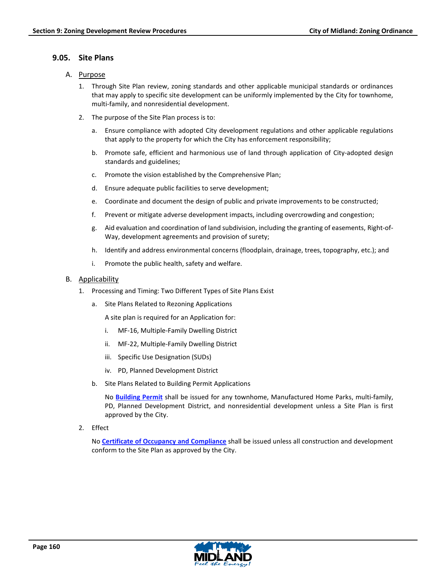# **9.05. Site Plans**

- A. Purpose
	- 1. Through Site Plan review, zoning standards and other applicable municipal standards or ordinances that may apply to specific site development can be uniformly implemented by the City for townhome, multi-family, and nonresidential development.
	- 2. The purpose of the Site Plan process is to:
		- a. Ensure compliance with adopted City development regulations and other applicable regulations that apply to the property for which the City has enforcement responsibility;
		- b. Promote safe, efficient and harmonious use of land through application of City-adopted design standards and guidelines;
		- c. Promote the vision established by the Comprehensive Plan;
		- d. Ensure adequate public facilities to serve development;
		- e. Coordinate and document the design of public and private improvements to be constructed;
		- f. Prevent or mitigate adverse development impacts, including overcrowding and congestion;
		- g. Aid evaluation and coordination of land subdivision, including the granting of easements, Right-of-Way, development agreements and provision of surety;
		- h. Identify and address environmental concerns (floodplain, drainage, trees, topography, etc.); and
		- i. Promote the public health, safety and welfare.

# B. Applicability

- 1. Processing and Timing: Two Different Types of Site Plans Exist
	- a. Site Plans Related to Rezoning Applications

A site plan is required for an Application for:

- i. MF-16, Multiple-Family Dwelling District
- ii. MF-22, Multiple-Family Dwelling District
- iii. Specific Use Designation (SUDs)
- iv. PD, Planned Development District
- b. Site Plans Related to Building Permit Applications

No **Building Permit** shall be issued for any townhome, Manufactured Home Parks, multi-family, PD, Planned Development District, and nonresidential development unless a Site Plan is first approved by the City.

2. Effect

No **Certificate of Occupancy and Compliance** shall be issued unless all construction and development conform to the Site Plan as approved by the City.

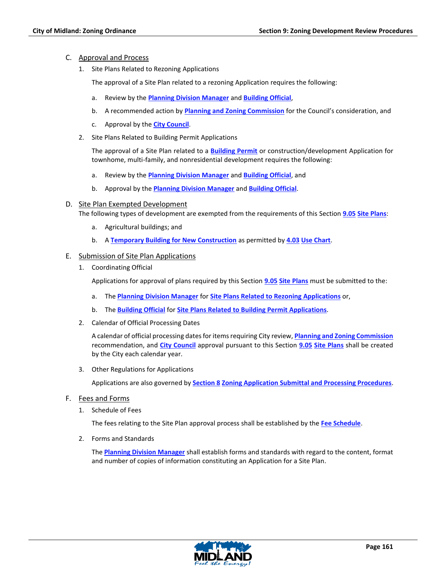### C. Approval and Process

1. Site Plans Related to Rezoning Applications

The approval of a Site Plan related to a rezoning Application requires the following:

- a. Review by the **Planning Division Manager** and **Building Official**,
- b. A recommended action by **Planning and Zoning Commission** for the Council's consideration, and
- c. Approval by the **City Council**.
- 2. Site Plans Related to Building Permit Applications

The approval of a Site Plan related to a **Building Permit** or construction/development Application for townhome, multi-family, and nonresidential development requires the following:

- a. Review by the **Planning Division Manager** and **Building Official**, and
- b. Approval by the **Planning Division Manager** and **Building Official**.
- D. Site Plan Exempted Development

The following types of development are exempted from the requirements of this Section **9.05 Site Plans**:

- a. Agricultural buildings; and
- b. A **Temporary Building for New Construction** as permitted by **4.03 Use Chart**.

#### E. Submission of Site Plan Applications

1. Coordinating Official

Applications for approval of plans required by this Section **9.05 Site Plans** must be submitted to the:

- a. The **Planning Division Manager** for **Site Plans Related to Rezoning Applications** or,
- b. The **Building Official** for **Site Plans Related to Building Permit Applications**.
- 2. Calendar of Official Processing Dates

A calendar of official processing dates for items requiring City review, **Planning and Zoning Commission** recommendation, and **City Council** approval pursuant to this Section **9.05 Site Plans** shall be created by the City each calendar year.

3. Other Regulations for Applications

Applications are also governed by **Section 8 Zoning Application Submittal and Processing Procedures**.

- F. Fees and Forms
	- 1. Schedule of Fees

The fees relating to the Site Plan approval process shall be established by the **Fee Schedule**.

2. Forms and Standards

The **Planning Division Manager** shall establish forms and standards with regard to the content, format and number of copies of information constituting an Application for a Site Plan.

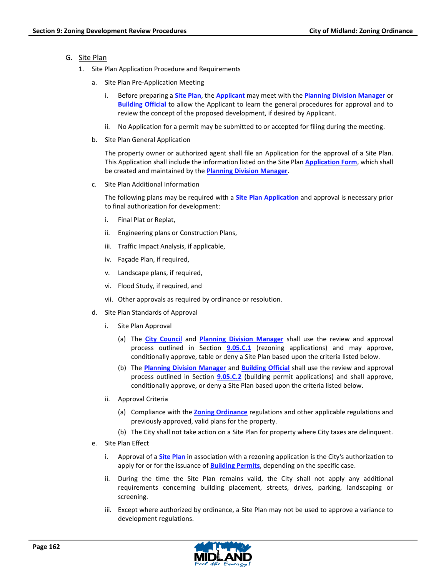### G. Site Plan

- 1. Site Plan Application Procedure and Requirements
	- a. Site Plan Pre-Application Meeting
		- i. Before preparing a **Site Plan**, the **Applicant** may meet with the **Planning Division Manager** or **Building Official** to allow the Applicant to learn the general procedures for approval and to review the concept of the proposed development, if desired by Applicant.
		- No Application for a permit may be submitted to or accepted for filing during the meeting.
	- b. Site Plan General Application

The property owner or authorized agent shall file an Application for the approval of a Site Plan. This Application shall include the information listed on the Site Plan **Application Form**, which shall be created and maintained by the **Planning Division Manager**.

c. Site Plan Additional Information

The following plans may be required with a **Site Plan Application** and approval is necessary prior to final authorization for development:

- i. Final Plat or Replat,
- ii. Engineering plans or Construction Plans,
- iii. Traffic Impact Analysis, if applicable,
- iv. Façade Plan, if required,
- v. Landscape plans, if required,
- vi. Flood Study, if required, and
- vii. Other approvals as required by ordinance or resolution.
- d. Site Plan Standards of Approval
	- i. Site Plan Approval
		- (a) The **City Council** and **Planning Division Manager** shall use the review and approval process outlined in Section **9.05.C.1** (rezoning applications) and may approve, conditionally approve, table or deny a Site Plan based upon the criteria listed below.
		- (b) The **Planning Division Manager** and **Building Official** shall use the review and approval process outlined in Section **9.05.C.2** (building permit applications) and shall approve, conditionally approve, or deny a Site Plan based upon the criteria listed below.
	- ii. Approval Criteria
		- (a) Compliance with the **Zoning Ordinance** regulations and other applicable regulations and previously approved, valid plans for the property.
		- (b) The City shall not take action on a Site Plan for property where City taxes are delinquent.
- e. Site Plan Effect
	- i. Approval of a **Site Plan** in association with a rezoning application is the City's authorization to apply for or for the issuance of **Building Permits**, depending on the specific case.
	- ii. During the time the Site Plan remains valid, the City shall not apply any additional requirements concerning building placement, streets, drives, parking, landscaping or screening.
	- iii. Except where authorized by ordinance, a Site Plan may not be used to approve a variance to development regulations.